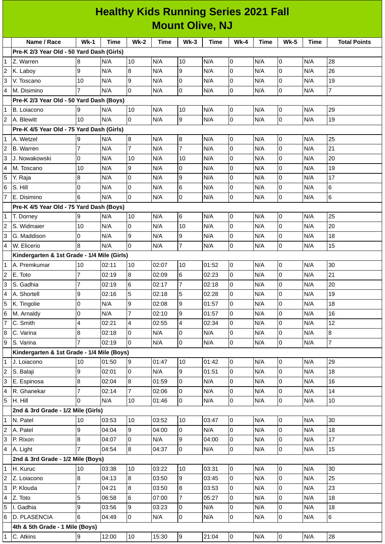## **Healthy Kids Running Series 2021 Fall Mount Olive, NJ**

|                | Name / Race                                 | $Wk-1$         | <b>Time</b> | $Wk-2$         | Time  | $Wk-3$         | <b>Time</b> | <b>Wk-4</b>    | <b>Time</b> | <b>Wk-5</b>    | Time | <b>Total Points</b> |
|----------------|---------------------------------------------|----------------|-------------|----------------|-------|----------------|-------------|----------------|-------------|----------------|------|---------------------|
|                | Pre-K 2/3 Year Old - 50 Yard Dash (Girls)   |                |             |                |       |                |             |                |             |                |      |                     |
| 1              | Z. Warren                                   | 8              | N/A         | 10             | N/A   | 10             | N/A         | 0              | N/A         | 0              | N/A  | 28                  |
|                | K. Laboy                                    | 9              | N/A         | 8              | N/A   | 9              | N/A         | 0              | N/A         | $\overline{0}$ | N/A  | 26                  |
| 3              | V. Toscano                                  | 10             | N/A         | 9              | N/A   | 0              | N/A         | 0              | N/A         | $\mathsf 0$    | N/A  | 19                  |
| 4              | M. Disimino                                 |                | N/A         | 0              | N/A   | 0              | N/A         | 0              | N/A         | $\overline{0}$ | N/A  | $\overline{7}$      |
|                | Pre-K 2/3 Year Old - 50 Yard Dash (Boys)    |                |             |                |       |                |             |                |             |                |      |                     |
| 1              | B. Loiacono                                 | 9              | N/A         | 10             | N/A   | 10             | N/A         | 0              | N/A         | $\overline{0}$ | N/A  | 29                  |
| $\overline{2}$ | A. Blewitt                                  | 10             | N/A         | lo.            | N/A   | 9              | N/A         | $\overline{0}$ | N/A         | $\overline{0}$ | N/A  | 19                  |
|                | Pre-K 4/5 Year Old - 75 Yard Dash (Girls)   |                |             |                |       |                |             |                |             |                |      |                     |
| $\mathbf{1}$   | A. Wetzel                                   | 9              | N/A         | $\overline{8}$ | N/A   | 8              | N/A         | 0              | N/A         | 0              | N/A  | 25                  |
|                | <b>B.</b> Warren                            | $\overline{7}$ | N/A         | $\overline{7}$ | N/A   | $\overline{7}$ | N/A         | 0              | N/A         | $\overline{0}$ | N/A  | 21                  |
| 3              | J. Nowakowski                               | 0              | N/A         | 10             | N/A   | 10             | N/A         | 0              | N/A         | $\mathsf{O}$   | N/A  | 20                  |
| 4              | M. Toscano                                  | 10             | N/A         | 9              | N/A   | 0              | N/A         | 0              | N/A         | $\overline{0}$ | N/A  | 19                  |
| 5              | Y. Raja                                     | 8              | N/A         | 0              | N/A   | 9              | N/A         | 0              | N/A         | $\overline{0}$ | N/A  | 17                  |
| 6              | S. Hill                                     | 0              | N/A         | 0              | N/A   | 6              | N/A         | $\overline{0}$ | N/A         | $\overline{0}$ | N/A  | $\,6$               |
| $\overline{7}$ | E. Disimino                                 | 6              | N/A         | $\overline{0}$ | N/A   | 0              | N/A         | 0              | N/A         | $\mathsf{O}$   | N/A  | $\,$ 6              |
|                | Pre-K 4/5 Year Old - 75 Yard Dash (Boys)    |                |             |                |       |                |             |                |             |                |      |                     |
| $\mathbf{1}$   | T. Dorney                                   | 9              | N/A         | 10             | N/A   | 6              | N/A         | 0              | N/A         | 0              | N/A  | 25                  |
| 2              | S. Widmaier                                 | 10             | N/A         | 0              | N/A   | 10             | N/A         | $\overline{0}$ | N/A         | $\overline{0}$ | N/A  | 20                  |
| 3              | G. Maddison                                 | 0              | N/A         | 9              | N/A   | 9              | N/A         | 0              | N/A         | 0              | N/A  | 18                  |
| 4              | W. Elicerio                                 | 8              | N/A         | $\overline{0}$ | N/A   | $\overline{7}$ | N/A         | 0              | N/A         | $\overline{0}$ | N/A  | 15                  |
|                | Kindergarten & 1st Grade - 1/4 Mile (Girls) |                |             |                |       |                |             |                |             |                |      |                     |
|                | A. Premkumar                                | 10             | 02:11       | 10             | 02:07 | 10             | 01:52       | $\overline{0}$ | N/A         | 0              | N/A  | 30                  |
| $\overline{c}$ | E. Toto                                     | $\overline{7}$ | 02:19       | $\overline{8}$ | 02:09 | $\,6$          | 02:23       | 0              | N/A         | $\mathsf{O}$   | N/A  | 21                  |
| 3              | S. Gadhia                                   | $\overline{7}$ | 02:19       | $6\phantom{.}$ | 02:17 | $\overline{7}$ | 02:18       | 0              | N/A         | 0              | N/A  | 20                  |
| 4              | A. Shortell                                 | 9              | 02:16       | 5              | 02:18 | 5              | 02:28       | 0              | N/A         | $\mathsf{O}$   | N/A  | 19                  |
| 5              | K. Tingolie                                 | 0              | N/A         | 9              | 02:08 | 9              | 01:57       | 0              | N/A         | 0              | N/A  | 18                  |
| 6              | M. Arnaldy                                  | 0              | N/A         | 7              | 02:10 | 9              | 01:57       | 0              | N/A         | 0              | N/A  | 16                  |
| $\overline{7}$ | C. Smith                                    | $\overline{a}$ | 02:21       | 4              | 02:55 | 4              | 02:34       | 0              | N/A         | 0              | N/A  | 12                  |
| 8              | C. Varina                                   | 8              | 02:18       | 0              | N/A   | 0              | N/A         | 0              | N/A         | $\overline{0}$ | N/A  | $\bf{8}$            |
| 9              | S. Varina                                   | $\overline{7}$ | 02:19       | l0             | N/A   | $\overline{0}$ | N/A         | $\overline{0}$ | N/A         | $\overline{0}$ | N/A  | $\overline{7}$      |
|                | Kindergarten & 1st Grade - 1/4 Mile (Boys)  |                |             |                |       |                |             |                |             |                |      |                     |
| 1              | J. Loiacono                                 | 10             | 01:50       | 9              | 01:47 | $10\,$         | 01:42       | 0              | N/A         | 0              | N/A  | 29                  |
| $\overline{c}$ | S. Balaji                                   | 9              | 02:01       | $\overline{0}$ | N/A   | 9              | 01:51       | 0              | N/A         | $\overline{0}$ | N/A  | 18                  |
| 3              | E. Espinosa                                 | 8              | 02:04       | 8              | 01:59 | 0              | N/A         | 0              | N/A         | $\overline{0}$ | N/A  | 16                  |
| 4              | R. Ghanekar                                 | $\overline{7}$ | 02:14       | $\overline{7}$ | 02:06 | 0              | N/A         | 0              | N/A         | $\mathsf 0$    | N/A  | 14                  |
| 5              | H. Hill                                     | 0              | N/A         | 10             | 01:46 | $\overline{0}$ | N/A         | 0              | N/A         | $\overline{0}$ | N/A  | 10                  |
|                | 2nd & 3rd Grade - 1/2 Mile (Girls)          |                |             |                |       |                |             |                |             |                |      |                     |
| 1              | N. Patel                                    | 10             | 03:53       | 10             | 03:52 | 10             | 03:47       | $\overline{0}$ | N/A         | $\overline{0}$ | N/A  | 30                  |
| $\overline{2}$ | A. Patel                                    | 9              | 04:04       | 9              | 04:00 | $\overline{0}$ | N/A         | 0              | N/A         | $\overline{0}$ | N/A  | 18                  |
| 3              | P. Rixon                                    | 8              | 04:07       | O              | N/A   | 9              | 04:00       | 0              | N/A         | O              | N/A  | 17                  |
| $\overline{4}$ | A. Light                                    | $\overline{7}$ | 04:54       | 8              | 04:37 | 0              | N/A         | 0              | N/A         | $\overline{0}$ | N/A  | 15                  |
|                | 2nd & 3rd Grade - 1/2 Mile (Boys)           |                |             |                |       |                |             |                |             |                |      |                     |
| $\mathbf{1}$   | H. Kuruc                                    | 10             | 03:38       | 10             | 03:22 | 10             | 03:31       | 0              | N/A         | $\overline{0}$ | N/A  | 30                  |
| 2              | Z. Loiacono                                 | $\bf{8}$       | 04:13       | 8              | 03:50 | 9              | 03:45       | 0              | N/A         | $\overline{0}$ | N/A  | 25                  |
| 3              | P. Klouda                                   | $\overline{7}$ | 04:21       | 8              | 03:50 | 8              | 03:53       | 0              | N/A         | $\overline{0}$ | N/A  | 23                  |
| 4              | Z. Toto                                     | 5              | 06:58       | 6              | 07:00 | $\overline{7}$ | 05:27       | 0              | N/A         | $\overline{0}$ | N/A  | 18                  |
| 5              | I. Gadhia                                   | 9              | 03:56       | 9              | 03:23 | 0              | N/A         | 0              | N/A         | $\overline{0}$ | N/A  | 18                  |
| 6              | D. PLASENCIA                                | 6              | 04:49       | l0             | N/A   | 0              | N/A         | $\overline{0}$ | N/A         | O              | N/A  | $6\overline{6}$     |
|                | 4th & 5th Grade - 1 Mile (Boys)             |                |             |                |       |                |             |                |             |                |      |                     |
| 1              | C. Atkins                                   | 9              | 12:00       | 10             | 15:30 | 9              | 21:04       | $\overline{0}$ | N/A         | $\overline{0}$ | N/A  | 28                  |